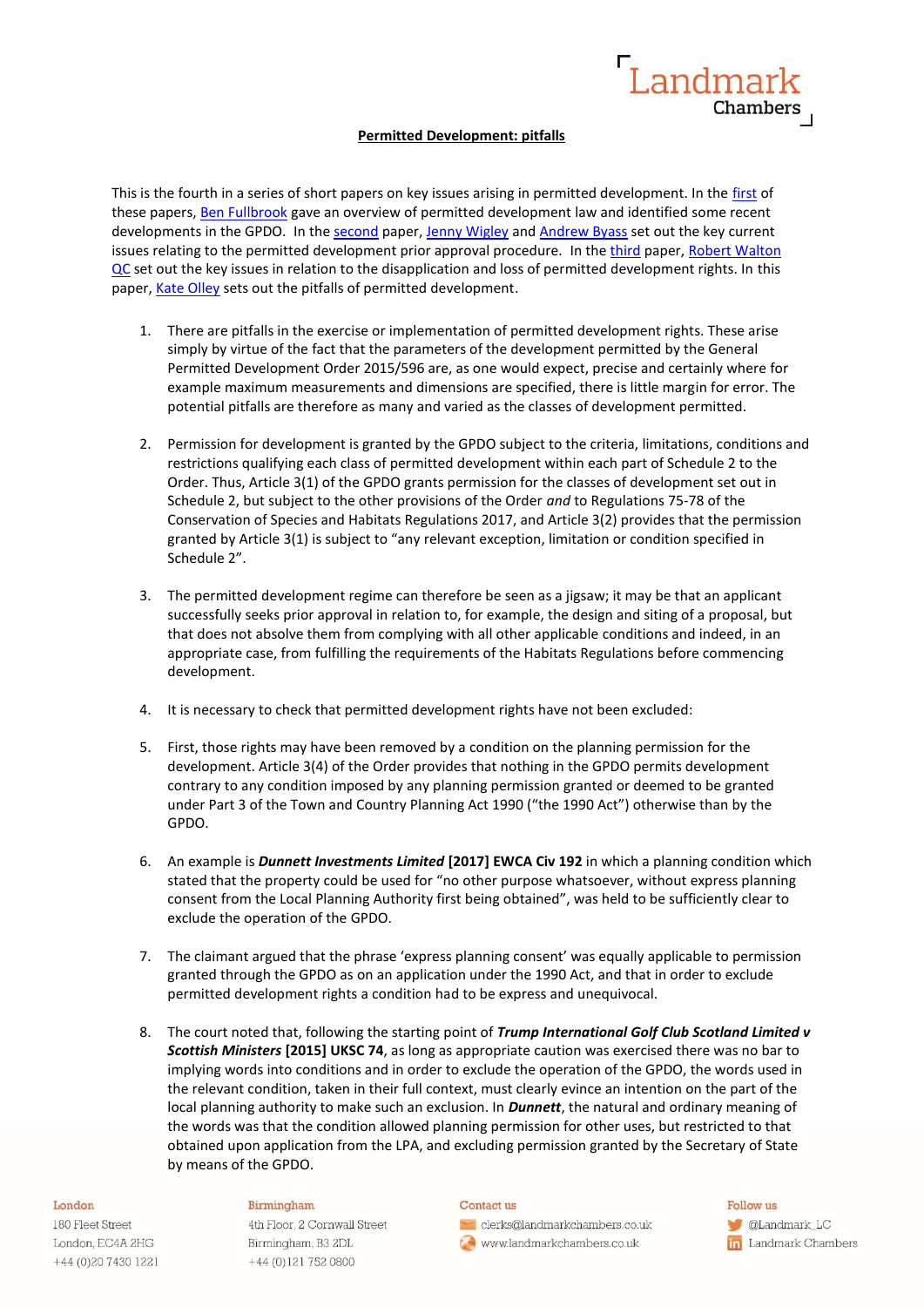

# **Permitted Development: pitfalls**

This is the fourth in a series of short papers on key issues arising in permitted development. In the [first](https://www.landmarkchambers.co.uk/permitted-development-key-issues/) of these papers, [Ben Fullbrook](https://www.landmarkchambers.co.uk/people/ben-fullbrook/) gave an overview of permitted development law and identified some recent developments in the GPDO. In the [second](https://www.landmarkchambers.co.uk/permitted-development-rights-prior-approval/) paper, [Jenny Wigley](https://www.landmarkchambers.co.uk/people/jenny-wigley/) and [Andrew Byass](https://www.landmarkchambers.co.uk/people/andrew-byass/) set out the key current issues relating to the permitted development prior approval procedure. In the [third](https://www.landmarkchambers.co.uk/permitted-development-disapplication-and-lose-of-permitted-development-rights/) paper, Robert Walton [QC](https://www.landmarkchambers.co.uk/people/robert-walton-qc/) set out the key issues in relation to the disapplication and loss of permitted development rights. In this paper, [Kate Olley](https://www.landmarkchambers.co.uk/people/katherine-olley/) sets out the pitfalls of permitted development.

- 1. There are pitfalls in the exercise or implementation of permitted development rights. These arise simply by virtue of the fact that the parameters of the development permitted by the General Permitted Development Order 2015/596 are, as one would expect, precise and certainly where for example maximum measurements and dimensions are specified, there is little margin for error. The potential pitfalls are therefore as many and varied as the classes of development permitted.
- 2. Permission for development is granted by the GPDO subject to the criteria, limitations, conditions and restrictions qualifying each class of permitted development within each part of Schedule 2 to the Order. Thus, Article 3(1) of the GPDO grants permission for the classes of development set out in Schedule 2, but subject to the other provisions of the Order *and* to Regulations 75-78 of the Conservation of Species and Habitats Regulations 2017, and Article 3(2) provides that the permission granted by Article 3(1) is subject to "any relevant exception, limitation or condition specified in Schedule 2".
- 3. The permitted development regime can therefore be seen as a jigsaw; it may be that an applicant successfully seeks prior approval in relation to, for example, the design and siting of a proposal, but that does not absolve them from complying with all other applicable conditions and indeed, in an appropriate case, from fulfilling the requirements of the Habitats Regulations before commencing development.
- 4. It is necessary to check that permitted development rights have not been excluded:
- 5. First, those rights may have been removed by a condition on the planning permission for the development. Article 3(4) of the Order provides that nothing in the GPDO permits development contrary to any condition imposed by any planning permission granted or deemed to be granted under Part 3 of the Town and Country Planning Act 1990 ("the 1990 Act") otherwise than by the GPDO.
- 6. An example is *Dunnett Investments Limited* **[2017] EWCA Civ 192** in which a planning condition which stated that the property could be used for "no other purpose whatsoever, without express planning consent from the Local Planning Authority first being obtained", was held to be sufficiently clear to exclude the operation of the GPDO.
- 7. The claimant argued that the phrase 'express planning consent' was equally applicable to permission granted through the GPDO as on an application under the 1990 Act, and that in order to exclude permitted development rights a condition had to be express and unequivocal.
- 8. The court noted that, following the starting point of *Trump International Golf Club Scotland Limited v Scottish Ministers* **[2015] UKSC 74**, as long as appropriate caution was exercised there was no bar to implying words into conditions and in order to exclude the operation of the GPDO, the words used in the relevant condition, taken in their full context, must clearly evince an intention on the part of the local planning authority to make such an exclusion. In *Dunnett*, the natural and ordinary meaning of the words was that the condition allowed planning permission for other uses, but restricted to that obtained upon application from the LPA, and excluding permission granted by the Secretary of State by means of the GPDO.

### London

180 Fleet Street London, EC4A 2HG +44 (0) 20 7430 1221

## Birmingham

4th Floor, 2 Cornwall Street Birmingham, B3 2DL +44 (0)121 752 0800

### Contact us

clerks@landmarkchambers.co.uk www.landmarkchambers.co.uk